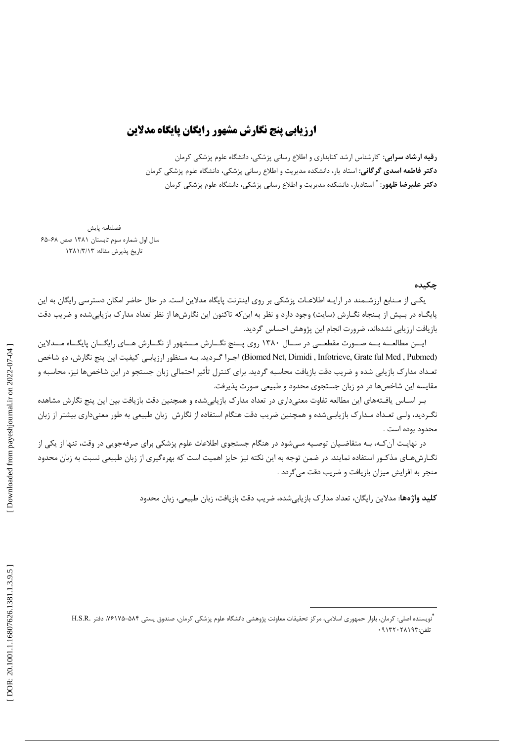## ارزيابي پنج نگارش مشهور رايگان پايگاه مدلاين

**رقیه ارشاد سرابی**: کارشناس ارشد کتابداری و اطلاع رسانی پزشکی، دانشگاه علوم پزشکی کرمان **دکتر فاطمه اسدی گرگانی:** استاد یار، دانشکده مدیریت و اطلاع رسانی پزشکی، دانشگاه علوم پزشکی کرمان **دکتر علیرضا ظهور**: <sup>\*</sup> استادیار، دانشکده مدیریت و اطلاع رسانی پزشکی، دانشگاه علوم پزشکی کرمان

فصلنامه بابش سال اول شماره سوم تابستان ١٣٨١ صص ۶۸-۶۵ تاريخ پذيرش مقاله: ١٣٨١/٣/١٣

## حكىدە

یکے از مـنابع ارزشـمند در ارایـه اطلاعـات پزشکی بر روی اینترنت پایگاه مدلاین است. در حال حاضر امکان دسترسی رایگان به این پایگـاه در بـیش از پـنجاه نگـارش (سایت) وجود دارد و نظر به اینکه تاکنون این نگارشها از نظر تعداد مدارک بازیابیشده و ضریب دقت بازیافت ارزیابی نشدهاند، ضرورت انجام این پژوهش احساس گردید.

ایسن مطالعــه بــه صــورت مقطعـــی در ســال ۱۳۸۰ روی پــنج نگــارش مــشهور از نگــارش هــای رایگــان پایگــاه مـــدلاین (Biomed Net, Dimidi , Infotrieve, Grate ful Med , Pubmed) اجرا گردید. بـه مـنظور ارزیابـی کیفیت این پنج نگارش، دو شاخص تعـداد مدارک بازیابی شده و ضریب دقت بازیافت محاسبه گردید. برای کنترل تأثیر احتمالی زبان جستجو در این شاخصها نیز، محاسبه و مقایسه این شاخصها در دو زبان جستجوی محدود و طبیعی صورت پذیرفت.

بـر اسـاس یافـتههای این مطالعه تفاوت معنیداری در تعداد مدارک بازیابیشده و همچنین دقت بازیافت بین این پنج نگارش مشاهده نگـردید، ولـی تعـداد مـدارک بازیابـیشده و همچنین ضریب دقت هنگام استفاده از نگارش زبان طبیعی به طور معنیداری بیشتر از زبان محدود بوده است .

در نهایت آن کـه، بـه متقاضـیان توصـیه مـیشود در هنگام جستجوی اطلاعات علوم پزشکی برای صرفهجویی در وقت، تنها از یکی از نگـارشهـای مذکـور استفاده نمایند. در ضمن توجه به این نکته نیز حایز اهمیت است که بهرهگیری از زبان طبیعی نسبت به زبان محدود منجر به افزایش میزان بازیافت و ضریب دقت میگردد .

**کلید واژهها**: مدلاین رایگان، تعداد مدارک بازیابی شده، ضریب دقت بازیافت، زبان طبیعی، زبان محدود

<sup>.&</sup>lt;br>"نویسنده اصلی: کرمان، بلوار حمهوری اسلامی، مرکز تحقیقات معاونت پژوهشی دانشگاه علوم پزشکی کرمان، صندوق پستی ۵۸۴–۷۶۱۷۵، دفتر .H.S.R تلفن:۰۹۱۳۲۰۲۸۱۹۳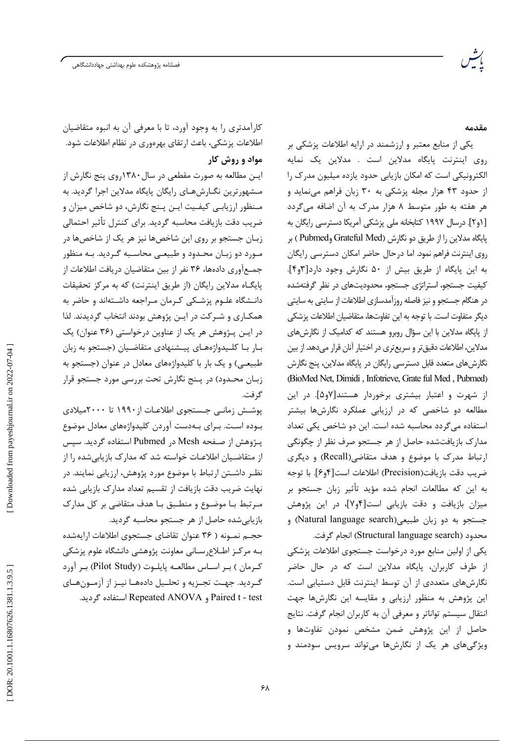مقدمه

یکی از منابع معتبر و ارزشمند در ارایه اطلاعات پزشکی بر روی اینترنت پایگاه مدلاین است . مدلاین یک نمایه الکترونیکی است که امکان بازیابی حدود یازده میلیون مدرک را از حدود ۴۳ هزار مجله پزشکی به ۳۰ زبان فراهم مینماید و هر هفته به طور متوسط ٨ هزار مدرک به آن اضافه میگردد [۱و۲]. درسال ۱۹۹۷ کتابخانه ملی پزشکی آمریکا دسترسی رایگان به يايگاه مدلاين را از طريق دو نگارش (Grateful Med وPubmed ) بر روی اینترنت فراهم نمود. اما درحال حاضر امکان دسترسی رایگان به این پایگاه از طریق بیش از ۵۰ نگارش وجود دارد[۴و۴]. کیفیت جستجو، استراتژی جستجو، محدودیتهای در نظر گرفتهشده در هنگام جستجو و نیز فاصله روزآمدسازی اطلاعات از سایتی به سایتی ديگر متفاوت است. با توجه به اين تفاوتها، متقاضيان اطلاعات يزشكي از پایگاه مدلاین با این سؤال روبرو هستند که کدامیک از نگارش های مدلاین، اطلاعات دقیق تر و سریع تری در اختیار آنان قرار میدهد. از بین نگارشهای متعدد قابل دسترسی رایگان در پایگاه مدلاین، پنج نگارش (BioMed Net, Dimidi, Infotrieve, Grate ful Med, Pubmed) از شهرت و اعتبار بیشتری برخوردار هستند[۷و۵]. در این مطالعه دو شاخصی که در ارزیابی عملکرد نگارشها بیشتر استفاده می گردد محاسبه شده است. این دو شاخص یکی تعداد مدارک بازیافتشده حاصل از هر جستجو صرف نظر از چگونگی ارتباط مدرک با موضوع و هدف متقاضی (Recall) و دیگری ضريب دقت بازيافت(Precision) اطلاعات است[۴و۶]. با توجه به این که مطالعات انجام شده مؤید تأثیر زبان جستجو بر میزان بازیافت و دقت بازیابی است[۴و۷]، در این پژوهش جستجو به دو زبان طبیعی(Natural language search) و

محدود (Structural language search) انجام گرفت. یکی از اولین منابع مورد درخواست جستجوی اطلاعات پزشکی از طرف کاربران، پایگاه مدلاین است که در حال حاضر نگارشهای متعددی از آن توسط اینترنت قابل دستیابی است. این پژوهش به منظور ارزیابی و مقایسه این نگارشها جهت انتقال سیستم تواناتر و معرفی آن به کاربران انجام گرفت. نتایج حاصل از این پژوهش ضمن مشخص نمودن تفاوتها و ویژگیهای هر یک از نگارشها می تواند سرویس سودمند و

کارآمدتری را به وجود آورد، تا با معرفی آن به انبوه متقاضیان اطلاعات پزشکی، باعث ارتقای بهرهوری در نظام اطلاعات شود. مواد و روش کار

ايــن مطالعه به صورت مقطعي در سال ۱۳۸۰روي پنج نگارش از مشهورترین نگـارشهـای رایگان پایگاه مدلاین اجرا گردید. به مـنظور ارزيابـي كيفـيت ايـن يـنج نگارش، دو شاخص ميزان و ضريب دقت بازيافت محاسبه گرديد. براي كنترل تأثير احتمالي زبـان جستجو بر روی این شاخصها نیز هر یک از شاخصها در مـورد دو زبـان محـدود و طبيعـي محاسـبه گـرديد. بـه منظور جمعآوري دادهها، ٣۶ نفر از بين متقاضيان دريافت اطلاعات از يايگــاه مدلاين رايگان (از طريق اينترنت) كه به مركز تحقيقات دانـشگاه علـوم پزشـكى كـرمان مـراجعه داشـتهاند و حاضر به همکـاری و شـرکت در ایـن پژوهش بودند انتخاب گردیدند. لذا در ایـن پـژوهش هر یک از عناوین درخواستی (۳۶ عنوان) یک بـار بـا كلـيدواژەهـاى پيـشنهادى متقاضـيان (جستجو به زبان طبیعـی) و یک بار با کلیدواژههای معادل در عنوان (جستجو به زبـان محـدود) در پـنج نگارش تحت بررسی مورد جستجو قرار گر فت.

یوشش زمانے جستجوی اطلاعـات از ۱۹۹۰ تا ۲۰۰۰میلادی بوده است. بـرای بـهدست آوردن کلیدواژههای معادل موضوع یـژوهش از صـفحه Mesh در Pubmed استفاده گردید. سیس از متقاضـیان اطلاعـات خواسته شد که مدارک بازیابی شده را از نظـر داشــتن ارتباط با موضوع مورد پژوهش، ارزيابي نمايند. در نهایت ضریب دقت بازیافت از تقسیم تعداد مدارک بازیابی شده مـرتبط بـا موضـوع و منطـبق بـا هدف متقاضى بر كل مدارك بازیابی شده حاصل از هر جستجو محاسبه گردید.

حجـم نمـونه ( ٣۶ عنوان تقاضاي جستجوي اطلاعات ارايهشده بـه مركـز اطـلاع٫سـاني معاونت پژوهشي دانشگاه علوم پزشكي كرمان ) بر اسـاس مطالعـه پايلـوت (Pilot Study) بـر آورد گـرديد. جهـت تجـزيه و تحلـيل دادههـا نيـز از آزمـونهـاي Paired t - test و Repeated ANOVA استفاده گردید.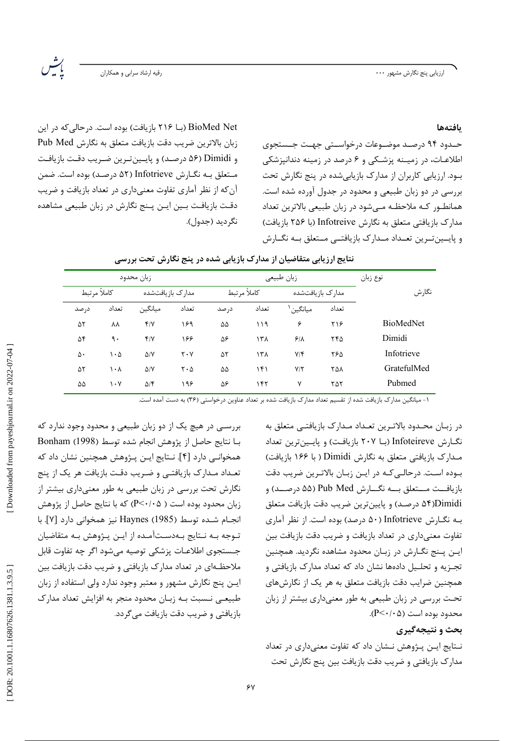ارزیابی پنج نگارش مشهور ۰۰۰

.<br>رقیه ارشاد سرابی و همکاران

رية<br>مدين

بافتهها

حـدود ۹۴ درصـد موضـوعات درخواسـتي جهـت جـستجوي اطلاعـات، در زميـنه پزشـكي و ۶ درصد در زمينه دندانيزشكي بود. ارزیابی کاربران از مدارک بازیابیشده در پنج نگارش تحت بررسی در دو زبان طبیعی و محدود در جدول آورده شده است. همانطـور كـه ملاحظـه مـىشود در زبان طبيعى بالاترين تعداد مدارک بازیافتی متعلق به نگارش Infotreive (با ۲۵۶ بازیافت) و پایسین ترین تعبداد میدارک بازیافتیی مستعلق بیه نگیارش

BioMed Net (بــا ۲۱۶ بازیافت) بوده است. درحالی که در این زبان بالاترين ضريب دقت بازيافت متعلق به نگارش Pub Med و Dimidi (۵۶ درصد) و پایینترین ضریب دقت بازیافت مـتعلق بـه نگــارش Infotrieve (۵۲ درصـد) بوده است. ضمن آن که از نظر آماری تفاوت معنیداری در تعداد بازیافت و ضریب دقت بازیافت بـین ایـن پـنج نگارش در زبان طبیعی مشاهده نگرديد (جدول).

| زبان محدود  |       |                  |                               |             |       | نوع زبان             |       |                  |  |  |
|-------------|-------|------------------|-------------------------------|-------------|-------|----------------------|-------|------------------|--|--|
|             |       |                  |                               | زبان طبيعي  |       |                      |       |                  |  |  |
| كاملأ مرتبط |       | مدارک بازیافتشده |                               | كاملأ مرتبط |       | مدارک بازیافتشده     |       | نگارش            |  |  |
| در صد       | تعداد | ميانگين          | تعداد                         | در صد       | تعداد | ميانگين <sup>۱</sup> | تعداد |                  |  |  |
| ۵۲          | ΛV    | $f/\gamma$       | ۱۶۹                           | ۵۵          | ۱۱۹   | ۶                    | ۲۱۶   | <b>BioMedNet</b> |  |  |
| ۵۴          | ٩.    | f/Y              | ۱۶۶                           | ۵۶          | ۱۳۸   | 5/1                  | ۲۴۵   | Dimidi           |  |  |
| ۵۰          | ۱۰۵   | $\Delta$ /Y      | $Y \cdot Y$                   | ۵٢          | ۱۳۸   | $Y/\mathfrak{F}$     | ۲۶۵   | Infotrieve       |  |  |
| ۵۲          | ۱۰۸   | $\Delta/Y$       | $\mathbf{Y} \cdot \mathbf{A}$ | ۵۵          | ۱۴۱   | $Y/\tau$             | ۲۵۸   | GratefulMed      |  |  |
| ۵۵          | ۱۰۷   | $\Delta$ /۴      | ۱۹۶                           | ۵۶          | ۱۴۲   | ٧                    | ۲۵۲   | Pubmed           |  |  |

| نتایج ارزیابی متقاضیان از مدارک بازیابی شده در پنج نگارش تحت بررسی |  |  |  |  |  |  |  |  |
|--------------------------------------------------------------------|--|--|--|--|--|--|--|--|
|--------------------------------------------------------------------|--|--|--|--|--|--|--|--|

.<br>د ۱- میانگین مدارک بازیافت شده از تقسیم تعداد مدارک بازیافت شده بر تعداد عناوین درخواستی (۳۶) به دست آمده است.

بررسـی در هیچ یک از دو زبان طبیعی و محدود وجود ندارد که با نتايج حاصل از يژوهش انجام شده توسط (1998) Bonham همخوانـی دارد [۴]. نـتايج ايـن پـژوهش همچنين نشان داد كه تعـداد مـدارک بازيافتـي و ضـريب دقـت بازيافت هر يک از پنج نگارش تحت بررسی در زبان طبیعی به طور معنیداری بیشتر از زبان محدود بوده است ( P<٠/٠۵) که با نتایج حاصل از پژوهش انجـام شـده توسط Haynes (1985) نيز همخواني دارد [۷]. با تـوجه بـه نـتايج بـهدسـتآمـده از ايـن يـژوهش بـه متقاضيان جستجوى اطلاعـات پزشكى توصيه مىشود اگر چه تفاوت قابل ملاحظــهای در تعداد مدارک بازیافتی و ضریب دقت بازیافت بین ایـن پنج نگارش مشهور و معتبر وجود ندارد ولی استفاده از زبان طبیعی نـسبت بـه زبـان محدود منجر به افزایش تعداد مدارک بازیافتی و ضریب دقت بازیافت می گردد.

در زبـان محـدود بالاتـرين تعـداد مـدارک بازيافتــى متعلق به نگارش Infoteireve (بـا ۲۰۷ بازیافت) و پایینترین تعداد مـدارک بازیافتی متعلق به نگارش Dimidi ( با ۱۶۶ بازیافت) بوده است. درحالی کـه در ایـن زبـان بالاتـرین ضریب دقت بازيافــت مــتعلق بــه نگـــارش Pub Med (۵۵ درصــد) و Dimidi(۵۴ درصد) و پایینترین ضریب دقت بازیافت متعلق بـه نگـارش Infotrieve (۵۰ درصد) بوده است. از نظر آماری تفاوت معنی داری در تعداد بازیافت و ضریب دقت بازیافت بین ایـن پـنج نگـارش در زبـان محدود مشاهده نگردید. همچنین تجزیه و تحلیل دادهها نشان داد که تعداد مدارک بازیافتی و همچنین ضرایب دقت بازیافت متعلق به هر یک از نگارشهای تحت بررسی در زبان طبیعی به طور معنیداری بیشتر از زبان  $(P<\cdot/\cdot \Delta)$  محدود بوده است

## بحث و نتیجهگیری

نـتايج ايـن پـژوهش نـشان داد كه تفاوت معنىدارى در تعداد مدارک بازیافتی و ضریب دقت بازیافت بین پنج نگارش تحت

Downloaded from payeshjournal.ir on 2022-07-04